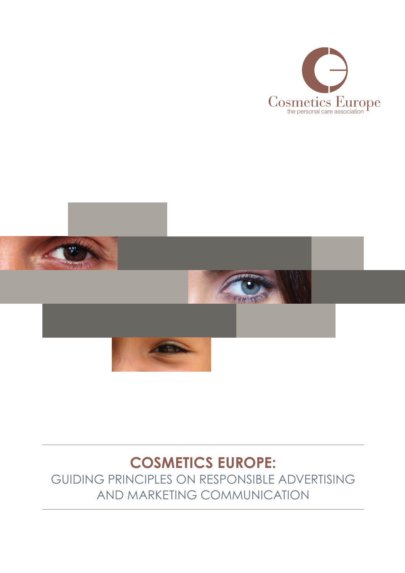



### **Cosmetics europe:**  Guiding principles on responsible advertising and marketing communication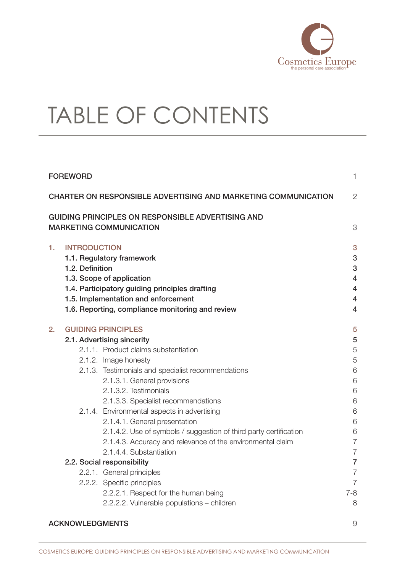

# TABLE OF CONTENTS

| <b>FOREWORD</b><br><b>CHARTER ON RESPONSIBLE ADVERTISING AND MARKETING COMMUNICATION</b> |                                        |                                                                                                                                                                                                                                                                              | 1                                               |
|------------------------------------------------------------------------------------------|----------------------------------------|------------------------------------------------------------------------------------------------------------------------------------------------------------------------------------------------------------------------------------------------------------------------------|-------------------------------------------------|
|                                                                                          |                                        |                                                                                                                                                                                                                                                                              | 2                                               |
|                                                                                          |                                        | GUIDING PRINCIPLES ON RESPONSIBLE ADVERTISING AND<br><b>MARKETING COMMUNICATION</b>                                                                                                                                                                                          | 3                                               |
| 1.                                                                                       | <b>INTRODUCTION</b><br>1.2. Definition | 1.1. Regulatory framework<br>1.3. Scope of application<br>1.4. Participatory guiding principles drafting<br>1.5. Implementation and enforcement<br>1.6. Reporting, compliance monitoring and review                                                                          | 3<br>3<br>3<br>$\overline{4}$<br>4<br>4<br>4    |
| 2.                                                                                       |                                        | <b>GUIDING PRINCIPLES</b><br>2.1. Advertising sincerity<br>2.1.1. Product claims substantiation<br>2.1.2. Image honesty<br>2.1.3. Testimonials and specialist recommendations<br>2.1.3.1. General provisions<br>2.1.3.2. Testimonials<br>2.1.3.3. Specialist recommendations | 5<br>5<br>5<br>5<br>6<br>6<br>6<br>6            |
|                                                                                          |                                        | 2.1.4. Environmental aspects in advertising<br>2.1.4.1. General presentation<br>2.1.4.2. Use of symbols / suggestion of third party certification<br>2.1.4.3. Accuracy and relevance of the environmental claim<br>2.1.4.4. Substantiation                                   | 6<br>6<br>6<br>$\overline{7}$<br>$\overline{7}$ |
|                                                                                          |                                        | 2.2. Social responsibility                                                                                                                                                                                                                                                   | $\overline{7}$                                  |
|                                                                                          |                                        | 2.2.1. General principles                                                                                                                                                                                                                                                    | $\overline{7}$                                  |
|                                                                                          |                                        | 2.2.2. Specific principles                                                                                                                                                                                                                                                   | $\overline{7}$                                  |
|                                                                                          |                                        | 2.2.2.1. Respect for the human being<br>2.2.2.2. Vulnerable populations - children                                                                                                                                                                                           | $7 - 8$<br>8                                    |
| <b>ACKNOWLEDGMENTS</b>                                                                   |                                        |                                                                                                                                                                                                                                                                              |                                                 |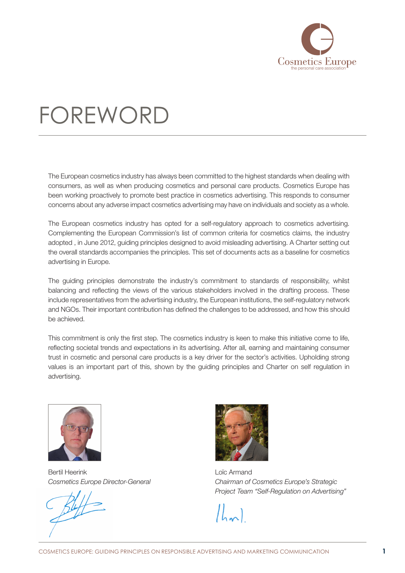

## <span id="page-2-0"></span>**FOREWORD**

The European cosmetics industry has always been committed to the highest standards when dealing with consumers, as well as when producing cosmetics and personal care products. Cosmetics Europe has been working proactively to promote best practice in cosmetics advertising. This responds to consumer concerns about any adverse impact cosmetics advertising may have on individuals and society as a whole.

The European cosmetics industry has opted for a self-regulatory approach to cosmetics advertising. Complementing the European Commission's list of common criteria for cosmetics claims, the industry adopted , in June 2012, guiding principles designed to avoid misleading advertising. A Charter setting out the overall standards accompanies the principles. This set of documents acts as a baseline for cosmetics advertising in Europe.

The guiding principles demonstrate the industry's commitment to standards of responsibility, whilst balancing and reflecting the views of the various stakeholders involved in the drafting process. These include representatives from the advertising industry, the European institutions, the self-regulatory network and NGOs. Their important contribution has defined the challenges to be addressed, and how this should be achieved.

This commitment is only the first step. The cosmetics industry is keen to make this initiative come to life, reflecting societal trends and expectations in its advertising. After all, earning and maintaining consumer trust in cosmetic and personal care products is a key driver for the sector's activities. Upholding strong values is an important part of this, shown by the guiding principles and Charter on self regulation in advertising.



Bertil Heerink *Cosmetics Europe Director-General*



Loïc Armand *Chairman of Cosmetics Europe's Strategic Project Team "Self-Regulation on Advertising"*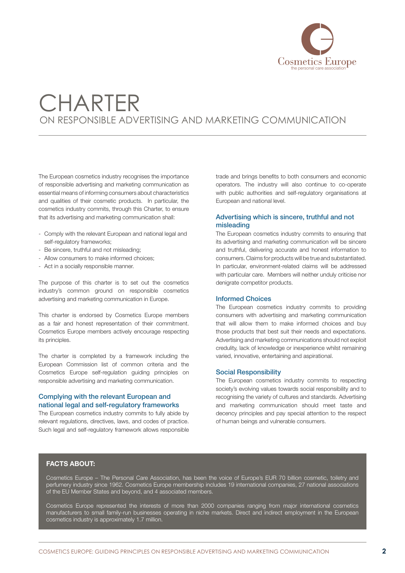

## **CHARTER** ON RESPONSIBLE ADVERTISING AND MARKETING COMMUNICATION

The European cosmetics industry recognises the importance of responsible advertising and marketing communication as essential means of informing consumers about characteristics and qualities of their cosmetic products. In particular, the cosmetics industry commits, through this Charter, to ensure that its advertising and marketing communication shall:

- Comply with the relevant European and national legal and self-regulatory frameworks;
- Be sincere, truthful and not misleading;
- Allow consumers to make informed choices;
- Act in a socially responsible manner.

The purpose of this charter is to set out the cosmetics industry's common ground on responsible cosmetics advertising and marketing communication in Europe.

This charter is endorsed by Cosmetics Europe members as a fair and honest representation of their commitment. Cosmetics Europe members actively encourage respecting its principles.

The charter is completed by a framework including the European Commission list of common criteria and the Cosmetics Europe self-regulation guiding principles on responsible advertising and marketing communication.

### Complying with the relevant European and national legal and self-regulatory frameworks

The European cosmetics industry commits to fully abide by relevant regulations, directives, laws, and codes of practice. Such legal and self-regulatory framework allows responsible trade and brings benefits to both consumers and economic operators. The industry will also continue to co-operate with public authorities and self-regulatory organisations at European and national level.

### Advertising which is sincere, truthful and not misleading

The European cosmetics industry commits to ensuring that its advertising and marketing communication will be sincere and truthful, delivering accurate and honest information to consumers. Claims for products will be true and substantiated. In particular, environment-related claims will be addressed with particular care. Members will neither unduly criticise nor denigrate competitor products.

#### Informed Choices

The European cosmetics industry commits to providing consumers with advertising and marketing communication that will allow them to make informed choices and buy those products that best suit their needs and expectations. Advertising and marketing communications should not exploit credulity, lack of knowledge or inexperience whilst remaining varied, innovative, entertaining and aspirational.

### Social Responsibility

The European cosmetics industry commits to respecting society's evolving values towards social responsibility and to recognising the variety of cultures and standards. Advertising and marketing communication should meet taste and decency principles and pay special attention to the respect of human beings and vulnerable consumers.

#### FACTS ABOUT:

Cosmetics Europe – The Personal Care Association, has been the voice of Europe's EUR 70 billion cosmetic, toiletry and perfumery industry since 1962. Cosmetics Europe membership includes 19 international companies, 27 national associations of the EU Member States and beyond, and 4 associated members.

Cosmetics Europe represented the interests of more than 2000 companies ranging from major international cosmetics manufacturers to small family-run businesses operating in niche markets. Direct and indirect employment in the European cosmetics industry is approximately 1.7 million.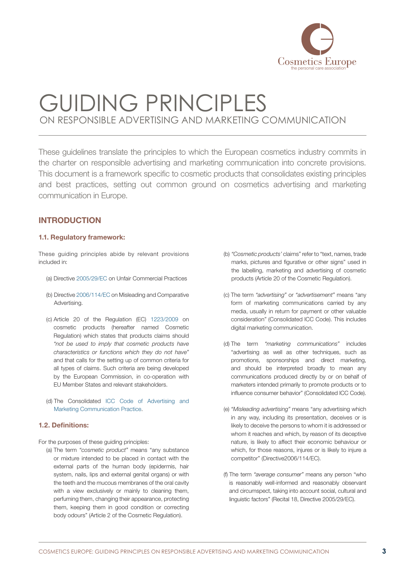

<span id="page-4-0"></span>These guidelines translate the principles to which the European cosmetics industry commits in the charter on responsible advertising and marketing communication into concrete provisions. This document is a framework specific to cosmetic products that consolidates existing principles and best practices, setting out common ground on cosmetics advertising and marketing communication in Europe.

### **INTRODUCTION**

### 1.1. Regulatory framework:

These guiding principles abide by relevant provisions included in:

- (a) Directive [2005/29/EC](http://eur-lex.europa.eu/LexUriServ/LexUriServ.do?uri=OJ:L:2005:149:0022:0039:EN:PDF) on Unfair Commercial Practices
- (b) Directive [2006/114/EC](http://eur-lex.europa.eu/LexUriServ/LexUriServ.do?uri=OJ:L:2006:376:0021:0027:EN:PDF) on Misleading and Comparative Advertising.
- (c) Article 20 of the Regulation (EC) [1223/2009](http://eur-lex.europa.eu/LexUriServ/LexUriServ.do?uri=OJ:L:2009:342:0059:0209:EN:PDF) on cosmetic products (hereafter named Cosmetic Regulation) which states that products claims should *"not be used to imply that cosmetic products have characteristics or functions which they do not have"* and that calls for the setting up of common criteria for all types of claims. Such criteria are being developed by the European Commission, in co-operation with EU Member States and relevant stakeholders.
- (d) The Consolidated [ICC Code of Advertising and](http://www.codescentre.com/images/downloads/660%20consolidated%20icc%20code_2011_final%20with%20covers.pdf)  [Marketing Communication Practice.](http://www.codescentre.com/images/downloads/660%20consolidated%20icc%20code_2011_final%20with%20covers.pdf)

### 1.2. Definitions:

- For the purposes of these guiding principles:
	- (a) The term *"cosmetic product"* means "any substance or mixture intended to be placed in contact with the external parts of the human body (epidermis, hair system, nails, lips and external genital organs) or with the teeth and the mucous membranes of the oral cavity with a view exclusively or mainly to cleaning them, perfuming them, changing their appearance, protecting them, keeping them in good condition or correcting body odours" (Article 2 of the Cosmetic Regulation).
- (b) *"Cosmetic products'* claims" refer to "text, names, trade marks, pictures and figurative or other signs" used in the labelling, marketing and advertising of cosmetic products (Article 20 of the Cosmetic Regulation).
- (c) The term *"advertising"* or *"advertisement"* means "any form of marketing communications carried by any media, usually in return for payment or other valuable consideration" (Consolidated ICC Code). This includes digital marketing communication.
- (d) The term *"marketing communications"* includes "advertising as well as other techniques, such as promotions, sponsorships and direct marketing, and should be interpreted broadly to mean any communications produced directly by or on behalf of marketers intended primarily to promote products or to influence consumer behavior" (Consolidated ICC Code).
- (e) *"Misleading advertising"* means "any advertising which in any way, including its presentation, deceives or is likely to deceive the persons to whom it is addressed or whom it reaches and which, by reason of its deceptive nature, is likely to affect their economic behaviour or which, for those reasons, injures or is likely to injure a competitor" (Directive2006/114/EC).
- (f) The term *"average consumer"* means any person "who is reasonably well-informed and reasonably observant and circumspect, taking into account social, cultural and linguistic factors" (Recital 18, Directive 2005/29/EC).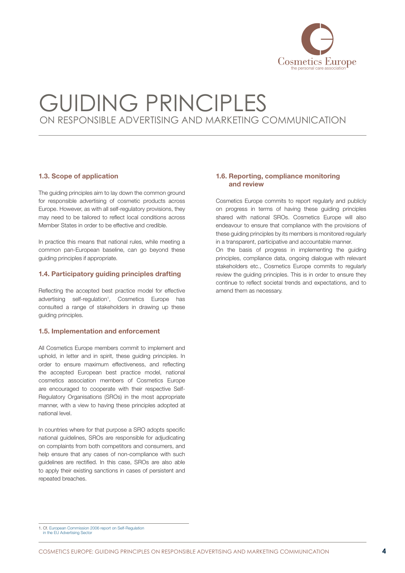

### <span id="page-5-0"></span>1.3. Scope of application

The guiding principles aim to lay down the common ground for responsible advertising of cosmetic products across Europe. However, as with all self-regulatory provisions, they may need to be tailored to reflect local conditions across Member States in order to be effective and credible.

In practice this means that national rules, while meeting a common pan-European baseline, can go beyond these guiding principles if appropriate.

### 1.4. Participatory guiding principles drafting

Reflecting the accepted best practice model for effective advertising self-regulation<sup>1</sup>, Cosmetics Europe has consulted a range of stakeholders in drawing up these guiding principles.

#### 1.5. Implementation and enforcement

All Cosmetics Europe members commit to implement and uphold, in letter and in spirit, these guiding principles. In order to ensure maximum effectiveness, and reflecting the accepted European best practice model, national cosmetics association members of Cosmetics Europe are encouraged to cooperate with their respective Self-Regulatory Organisations (SROs) in the most appropriate manner, with a view to having these principles adopted at national level.

In countries where for that purpose a SRO adopts specific national guidelines, SROs are responsible for adjudicating on complaints from both competitors and consumers, and help ensure that any cases of non-compliance with such guidelines are rectified. In this case, SROs are also able to apply their existing sanctions in cases of persistent and repeated breaches.

### 1.6. Reporting, compliance monitoring and review

Cosmetics Europe commits to report regularly and publicly on progress in terms of having these guiding principles shared with national SROs. Cosmetics Europe will also endeavour to ensure that compliance with the provisions of these guiding principles by its members is monitored regularly in a transparent, participative and accountable manner.

On the basis of progress in implementing the guiding principles, compliance data, ongoing dialogue with relevant stakeholders etc., Cosmetics Europe commits to regularly review the guiding principles. This is in order to ensure they continue to reflect societal trends and expectations, and to amend them as necessary.

<sup>1.</sup> Cf. [European Commission 2006 report on Self-Regulation](http://ec.europa.eu/dgs/health_consumer/self_regulation/docs/report_advertising_en.pdf)  in the EU Advertising Secto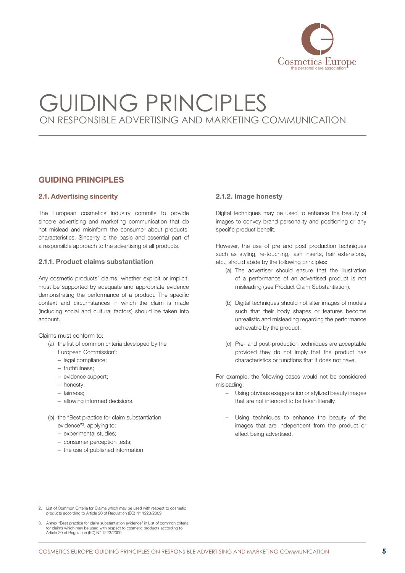

### <span id="page-6-0"></span>Guiding principles

### 2.1. Advertising sincerity

The European cosmetics industry commits to provide sincere advertising and marketing communication that do not mislead and misinform the consumer about products' characteristics. Sincerity is the basic and essential part of a responsible approach to the advertising of all products.

### 2.1.1. Product claims substantiation

Any cosmetic products' claims, whether explicit or implicit, must be supported by adequate and appropriate evidence demonstrating the performance of a product. The specific context and circumstances in which the claim is made (including social and cultural factors) should be taken into account.

#### Claims must conform to:

- (a) the list of common criteria developed by the
	- European Commission<sup>2</sup>:
	- legal compliance;
	- truthfulness;
	- evidence support;
	- honesty;
	- fairness;
	- allowing informed decisions.
- (b) the "Best practice for claim substantiation evidence"<sup>3</sup>, applying to:
	- experimental studies;
	- consumer perception tests;
	- the use of published information.

### 2.1.2. Image honesty

Digital techniques may be used to enhance the beauty of images to convey brand personality and positioning or any specific product benefit.

However, the use of pre and post production techniques such as styling, re-touching, lash inserts, hair extensions, etc., should abide by the following principles:

- (a) The advertiser should ensure that the illustration of a performance of an advertised product is not misleading (see Product Claim Substantiation).
- (b) Digital techniques should not alter images of models such that their body shapes or features become unrealistic and misleading regarding the performance achievable by the product.
- (c) Pre- and post-production techniques are acceptable provided they do not imply that the product has characteristics or functions that it does not have.

For example, the following cases would not be considered misleading:

- Using obvious exaggeration or stylized beauty images that are not intended to be taken literally.
- Using techniques to enhance the beauty of the images that are independent from the product or effect being advertised.

<sup>2.</sup> List of Common Criteria for Claims which may be used with respect to cosmetic products according to Article 20 of Regulation (EC) N° 1223/2009

<sup>3.</sup> Annex "Best practice for claim substantiation evidence" in List of common criteria for claims which may be used with respect to cosmetic products according to Article 20 of Regulation (EC) N° 1223/2009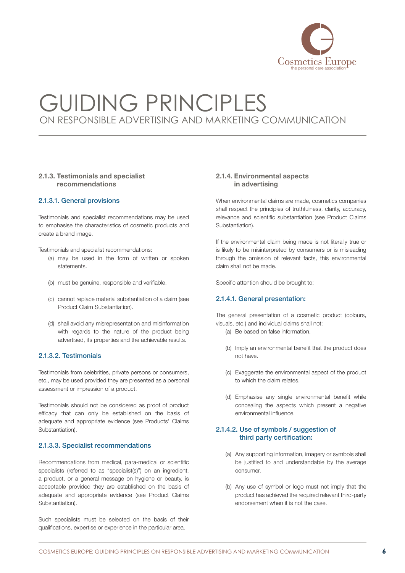

### <span id="page-7-0"></span>2.1.3. Testimonials and specialist recommendations

### 2.1.3.1. General provisions

Testimonials and specialist recommendations may be used to emphasise the characteristics of cosmetic products and create a brand image.

Testimonials and specialist recommendations:

- (a) may be used in the form of written or spoken statements.
- (b) must be genuine, responsible and verifiable.
- (c) cannot replace material substantiation of a claim (see Product Claim Substantiation).
- (d) shall avoid any misrepresentation and misinformation with regards to the nature of the product being advertised, its properties and the achievable results.

### 2.1.3.2. Testimonials

Testimonials from celebrities, private persons or consumers, etc., may be used provided they are presented as a personal assessment or impression of a product.

Testimonials should not be considered as proof of product efficacy that can only be established on the basis of adequate and appropriate evidence (see Products' Claims Substantiation).

### 2.1.3.3. Specialist recommendations

Recommendations from medical, para-medical or scientific specialists (referred to as "specialist(s)") on an ingredient, a product, or a general message on hygiene or beauty, is acceptable provided they are established on the basis of adequate and appropriate evidence (see Product Claims Substantiation).

Such specialists must be selected on the basis of their qualifications, expertise or experience in the particular area.

### 2.1.4. Environmental aspects in advertising

When environmental claims are made, cosmetics companies shall respect the principles of truthfulness, clarity, accuracy, relevance and scientific substantiation (see Product Claims Substantiation).

If the environmental claim being made is not literally true or is likely to be misinterpreted by consumers or is misleading through the omission of relevant facts, this environmental claim shall not be made.

Specific attention should be brought to:

### 2.1.4.1. General presentation:

The general presentation of a cosmetic product (colours, visuals, etc.) and individual claims shall not:

- (a) Be based on false information.
- (b) Imply an environmental benefit that the product does not have.
- (c) Exaggerate the environmental aspect of the product to which the claim relates.
- (d) Emphasise any single environmental benefit while concealing the aspects which present a negative environmental influence.

### 2.1.4.2. Use of symbols / suggestion of third party certification:

- (a) Any supporting information, imagery or symbols shall be justified to and understandable by the average consumer.
- (b) Any use of symbol or logo must not imply that the product has achieved the required relevant third-party endorsement when it is not the case.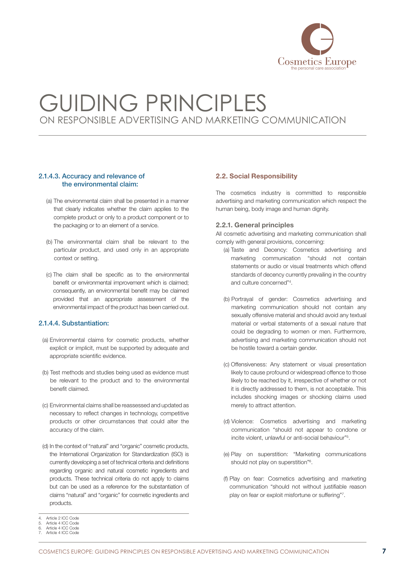

### <span id="page-8-0"></span>2.1.4.3. Accuracy and relevance of the environmental claim:

- (a) The environmental claim shall be presented in a manner that clearly indicates whether the claim applies to the complete product or only to a product component or to the packaging or to an element of a service.
- (b) The environmental claim shall be relevant to the particular product, and used only in an appropriate context or setting.
- (c) The claim shall be specific as to the environmental benefit or environmental improvement which is claimed; consequently, an environmental benefit may be claimed provided that an appropriate assessment of the environmental impact of the product has been carried out.

### 2.1.4.4. Substantiation:

- (a) Environmental claims for cosmetic products, whether explicit or implicit, must be supported by adequate and appropriate scientific evidence.
- (b) Test methods and studies being used as evidence must be relevant to the product and to the environmental benefit claimed.
- (c) Environmental claims shall be reassessed and updated as necessary to reflect changes in technology, competitive products or other circumstances that could alter the accuracy of the claim.
- (d) In the context of "natural" and "organic" cosmetic products, the International Organization for Standardization (ISO) is currently developing a set of technical criteria and definitions regarding organic and natural cosmetic ingredients and products. These technical criteria do not apply to claims but can be used as a reference for the substantiation of claims "natural" and "organic" for cosmetic ingredients and products.

#### 4. Article 2 ICC Code Article 4 ICC Code

### 2.2. Social Responsibility

The cosmetics industry is committed to responsible advertising and marketing communication which respect the human being, body image and human dignity.

#### 2.2.1. General principles

All cosmetic advertising and marketing communication shall comply with general provisions, concerning:

- (a) Taste and Decency: Cosmetics advertising and marketing communication "should not contain statements or audio or visual treatments which offend standards of decency currently prevailing in the country and culture concerned"4 .
- (b) Portrayal of gender: Cosmetics advertising and marketing communication should not contain any sexually offensive material and should avoid any textual material or verbal statements of a sexual nature that could be degrading to women or men. Furthermore, advertising and marketing communication should not be hostile toward a certain gender.
- (c) Offensiveness: Any statement or visual presentation likely to cause profound or widespread offence to those likely to be reached by it, irrespective of whether or not it is directly addressed to them, is not acceptable. This includes shocking images or shocking claims used merely to attract attention.
- (d) Violence: Cosmetics advertising and marketing communication "should not appear to condone or incite violent, unlawful or anti-social behaviour"5 .
- (e) Play on superstition: "Marketing communications should not play on superstition"<sup>6</sup>.
- (f) Play on fear: Cosmetics advertising and marketing communication "should not without justifiable reason play on fear or exploit misfortune or suffering"7.

<sup>6.</sup> Article 4 ICC Code

Article 4 ICC Code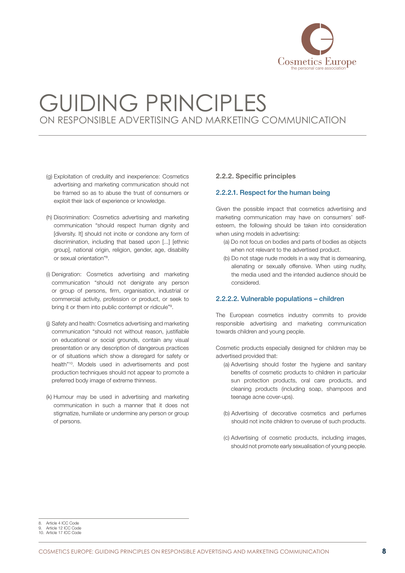

- <span id="page-9-0"></span>(g) Exploitation of credulity and inexperience: Cosmetics advertising and marketing communication should not be framed so as to abuse the trust of consumers or exploit their lack of experience or knowledge.
- (h) Discrimination: Cosmetics advertising and marketing communication "should respect human dignity and [diversity. It] should not incite or condone any form of discrimination, including that based upon [...] [ethnic group], national origin, religion, gender, age, disability or sexual orientation"8 .
- (i) Denigration: Cosmetics advertising and marketing communication "should not denigrate any person or group of persons, firm, organisation, industrial or commercial activity, profession or product, or seek to bring it or them into public contempt or ridicule"<sup>9</sup>.
- (j) Safety and health: Cosmetics advertising and marketing communication "should not without reason, justifiable on educational or social grounds, contain any visual presentation or any description of dangerous practices or of situations which show a disregard for safety or health"10. Models used in advertisements and post production techniques should not appear to promote a preferred body image of extreme thinness.
- (k) Humour may be used in advertising and marketing communication in such a manner that it does not stigmatize, humiliate or undermine any person or group of persons.

### 2.2.2. Specific principles

### 2.2.2.1. Respect for the human being

Given the possible impact that cosmetics advertising and marketing communication may have on consumers' selfesteem, the following should be taken into consideration when using models in advertising:

- (a) Do not focus on bodies and parts of bodies as objects when not relevant to the advertised product.
- (b) Do not stage nude models in a way that is demeaning, alienating or sexually offensive. When using nudity, the media used and the intended audience should be considered.

### 2.2.2.2. Vulnerable populations – children

The European cosmetics industry commits to provide responsible advertising and marketing communication towards children and young people.

Cosmetic products especially designed for children may be advertised provided that:

- (a) Advertising should foster the hygiene and sanitary benefits of cosmetic products to children in particular sun protection products, oral care products, and cleaning products (including soap, shampoos and teenage acne cover-ups).
- (b) Advertising of decorative cosmetics and perfumes should not incite children to overuse of such products.
- (c) Advertising of cosmetic products, including images, should not promote early sexualisation of young people.

8. Article 4 ICC Code

<sup>9.</sup> Article 12 ICC Code 10. Article 17 ICC Code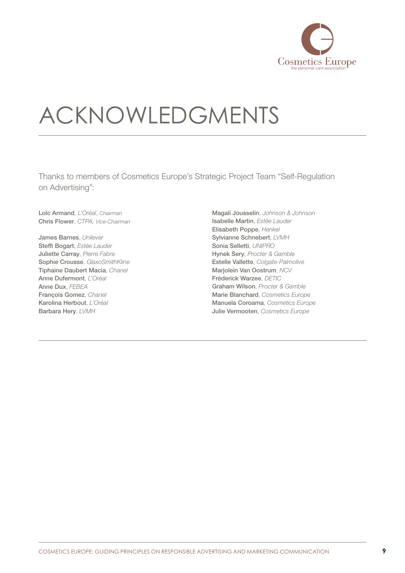

# <span id="page-10-0"></span>Acknowledgments

Thanks to members of Cosmetics Europe's Strategic Project Team "Self-Regulation on Advertising":

Loïc Armand, *L'Oréal*, *Chairman* Chris Flower, *Ctpa, Vice-Chairman*

James Barnes, *Unilever* Steffi Bogart, *Estée Lauder* Juliette Carray, *Pierre Fabre* Sophie Crousse, *GlaxoSmithKline* Tiphaine Daubert Macia, *Chanel* Anne Dufermont, *L'Oréal* Anne Dux, *Febea* François Gomez, *Chanel* Karolina Herbout, *L'Oréal* Barbara Hery, *Lvmh*

Magali Jousselin, *Johnson & Johnson* Isabelle Martin, *Estée Lauder* Elisabeth Poppe, *Henkel* Sylvianne Schnebert, *Lvmh* Sonia Selletti, *Unipro* Hynek Sery, *Procter & Gamble* Estelle Vallette, *Colgate-Palmolive* Marjolein Van Oostrum, *Ncv* Fréderick Warzee, DETIC Graham Wilson, *Procter & Gamble* Marie Blanchard, *Cosmetics Europe* Manuela Coroama, *Cosmetics Europe* Julie Vermooten, *Cosmetics Europe*